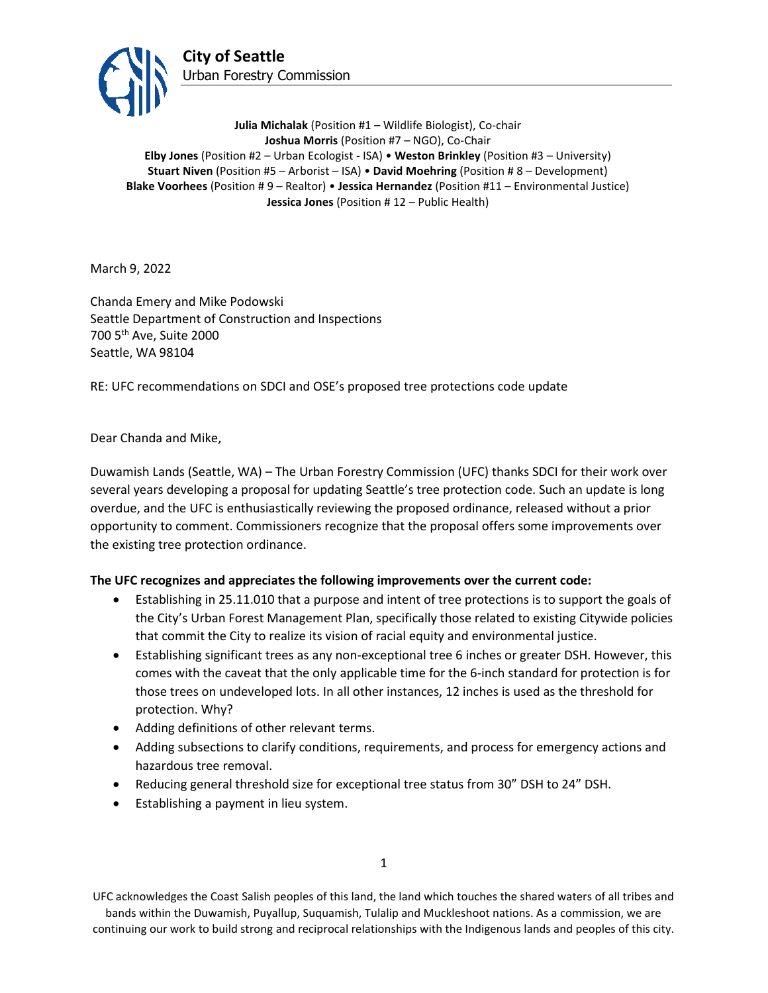

**Julia Michalak** (Position #1 – Wildlife Biologist), Co-chair **Joshua Morris** (Position #7 – NGO), Co-Chair **Elby Jones** (Position #2 – Urban Ecologist - ISA) • **Weston Brinkley** (Position #3 – University) **Stuart Niven** (Position #5 – Arborist – ISA) • **David Moehring** (Position # 8 – Development) **Blake Voorhees** (Position # 9 – Realtor) • **Jessica Hernandez** (Position #11 – Environmental Justice) **Jessica Jones** (Position # 12 – Public Health)

March 9, 2022

Chanda Emery and Mike Podowski Seattle Department of Construction and Inspections 700 5th Ave, Suite 2000 Seattle, WA 98104

RE: UFC recommendations on SDCI and OSE's proposed tree protections code update

Dear Chanda and Mike,

Duwamish Lands (Seattle, WA) – The Urban Forestry Commission (UFC) thanks SDCI for their work over several years developing a proposal for updating Seattle's tree protection code. Such an update is long overdue, and the UFC is enthusiastically reviewing the proposed ordinance, released without a prior opportunity to comment. Commissioners recognize that the proposal offers some improvements over the existing tree protection ordinance.

## **The UFC recognizes and appreciates the following improvements over the current code:**

- Establishing in 25.11.010 that a purpose and intent of tree protections is to support the goals of the City's Urban Forest Management Plan, specifically those related to existing Citywide policies that commit the City to realize its vision of racial equity and environmental justice.
- Establishing significant trees as any non-exceptional tree 6 inches or greater DSH. However, this comes with the caveat that the only applicable time for the 6-inch standard for protection is for those trees on undeveloped lots. In all other instances, 12 inches is used as the threshold for protection. Why?
- Adding definitions of other relevant terms.
- Adding subsections to clarify conditions, requirements, and process for emergency actions and hazardous tree removal.
- Reducing general threshold size for exceptional tree status from 30" DSH to 24" DSH.
- Establishing a payment in lieu system.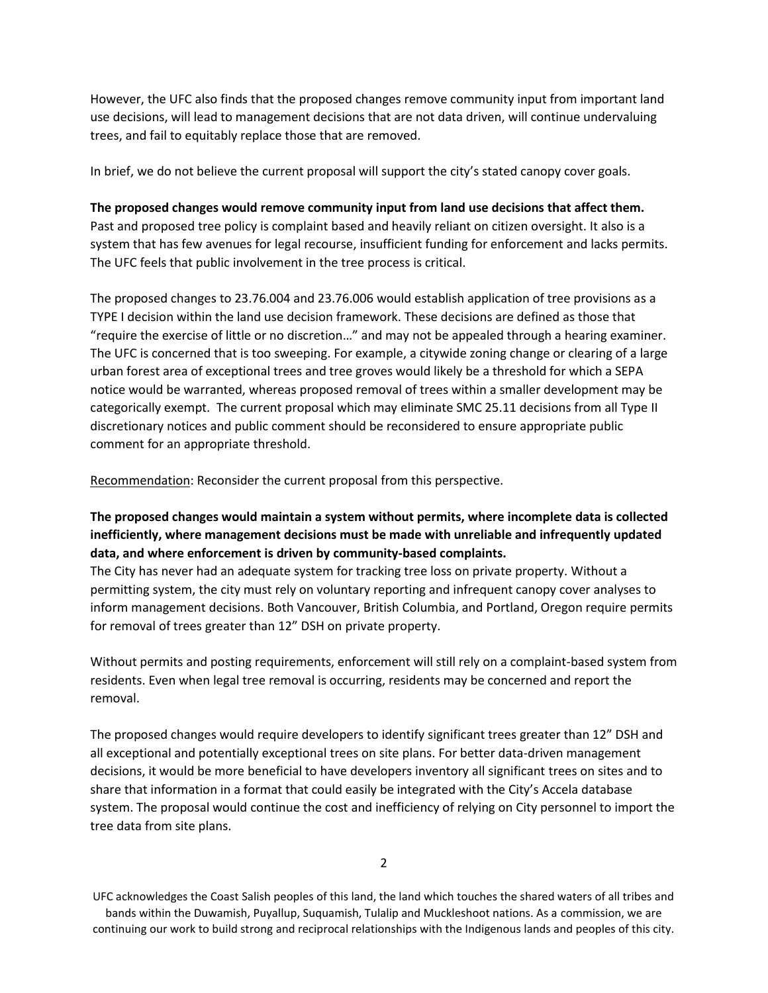However, the UFC also finds that the proposed changes remove community input from important land use decisions, will lead to management decisions that are not data driven, will continue undervaluing trees, and fail to equitably replace those that are removed.

In brief, we do not believe the current proposal will support the city's stated canopy cover goals.

**The proposed changes would remove community input from land use decisions that affect them.** Past and proposed tree policy is complaint based and heavily reliant on citizen oversight. It also is a system that has few avenues for legal recourse, insufficient funding for enforcement and lacks permits. The UFC feels that public involvement in the tree process is critical.

The proposed changes to 23.76.004 and 23.76.006 would establish application of tree provisions as a TYPE I decision within the land use decision framework. These decisions are defined as those that "require the exercise of little or no discretion…" and may not be appealed through a hearing examiner. The UFC is concerned that is too sweeping. For example, a citywide zoning change or clearing of a large urban forest area of exceptional trees and tree groves would likely be a threshold for which a SEPA notice would be warranted, whereas proposed removal of trees within a smaller development may be categorically exempt. The current proposal which may eliminate SMC 25.11 decisions from all Type II discretionary notices and public comment should be reconsidered to ensure appropriate public comment for an appropriate threshold.

Recommendation: Reconsider the current proposal from this perspective.

# **The proposed changes would maintain a system without permits, where incomplete data is collected inefficiently, where management decisions must be made with unreliable and infrequently updated data, and where enforcement is driven by community-based complaints.**

The City has never had an adequate system for tracking tree loss on private property. Without a permitting system, the city must rely on voluntary reporting and infrequent canopy cover analyses to inform management decisions. Both Vancouver, British Columbia, and Portland, Oregon require permits for removal of trees greater than 12" DSH on private property.

Without permits and posting requirements, enforcement will still rely on a complaint-based system from residents. Even when legal tree removal is occurring, residents may be concerned and report the removal.

The proposed changes would require developers to identify significant trees greater than 12" DSH and all exceptional and potentially exceptional trees on site plans. For better data-driven management decisions, it would be more beneficial to have developers inventory all significant trees on sites and to share that information in a format that could easily be integrated with the City's Accela database system. The proposal would continue the cost and inefficiency of relying on City personnel to import the tree data from site plans.

2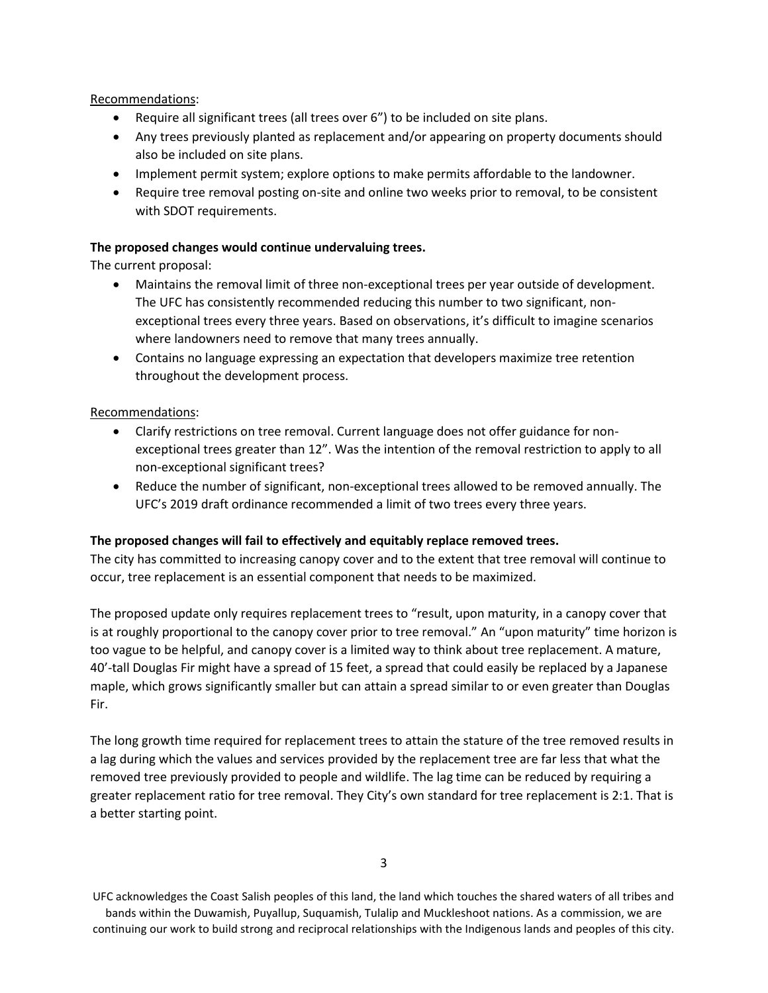Recommendations:

- Require all significant trees (all trees over 6") to be included on site plans.
- Any trees previously planted as replacement and/or appearing on property documents should also be included on site plans.
- Implement permit system; explore options to make permits affordable to the landowner.
- Require tree removal posting on-site and online two weeks prior to removal, to be consistent with SDOT requirements.

# **The proposed changes would continue undervaluing trees.**

The current proposal:

- Maintains the removal limit of three non-exceptional trees per year outside of development. The UFC has consistently recommended reducing this number to two significant, nonexceptional trees every three years. Based on observations, it's difficult to imagine scenarios where landowners need to remove that many trees annually.
- Contains no language expressing an expectation that developers maximize tree retention throughout the development process.

# Recommendations:

- Clarify restrictions on tree removal. Current language does not offer guidance for nonexceptional trees greater than 12". Was the intention of the removal restriction to apply to all non-exceptional significant trees?
- Reduce the number of significant, non-exceptional trees allowed to be removed annually. The UFC's 2019 draft ordinance recommended a limit of two trees every three years.

## **The proposed changes will fail to effectively and equitably replace removed trees.**

The city has committed to increasing canopy cover and to the extent that tree removal will continue to occur, tree replacement is an essential component that needs to be maximized.

The proposed update only requires replacement trees to "result, upon maturity, in a canopy cover that is at roughly proportional to the canopy cover prior to tree removal." An "upon maturity" time horizon is too vague to be helpful, and canopy cover is a limited way to think about tree replacement. A mature, 40'-tall Douglas Fir might have a spread of 15 feet, a spread that could easily be replaced by a Japanese maple, which grows significantly smaller but can attain a spread similar to or even greater than Douglas Fir.

The long growth time required for replacement trees to attain the stature of the tree removed results in a lag during which the values and services provided by the replacement tree are far less that what the removed tree previously provided to people and wildlife. The lag time can be reduced by requiring a greater replacement ratio for tree removal. They City's own standard for tree replacement is 2:1. That is a better starting point.